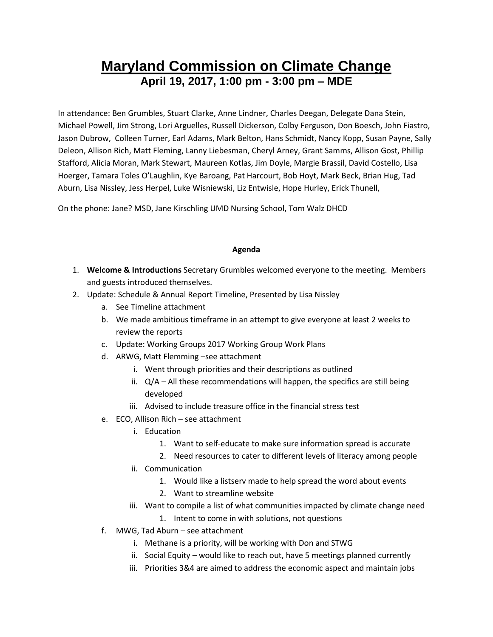# **Maryland Commission on Climate Change April 19, 2017, 1:00 pm - 3:00 pm – MDE**

In attendance: Ben Grumbles, Stuart Clarke, Anne Lindner, Charles Deegan, Delegate Dana Stein, Michael Powell, Jim Strong, Lori Arguelles, Russell Dickerson, Colby Ferguson, Don Boesch, John Fiastro, Jason Dubrow, Colleen Turner, Earl Adams, Mark Belton, Hans Schmidt, Nancy Kopp, Susan Payne, Sally Deleon, Allison Rich, Matt Fleming, Lanny Liebesman, Cheryl Arney, Grant Samms, Allison Gost, Phillip Stafford, Alicia Moran, Mark Stewart, Maureen Kotlas, Jim Doyle, Margie Brassil, David Costello, Lisa Hoerger, Tamara Toles O'Laughlin, Kye Baroang, Pat Harcourt, Bob Hoyt, Mark Beck, Brian Hug, Tad Aburn, Lisa Nissley, Jess Herpel, Luke Wisniewski, Liz Entwisle, Hope Hurley, Erick Thunell,

On the phone: Jane? MSD, Jane Kirschling UMD Nursing School, Tom Walz DHCD

#### **Agenda**

- 1. **Welcome & Introductions** Secretary Grumbles welcomed everyone to the meeting. Members and guests introduced themselves.
- 2. Update: Schedule & Annual Report Timeline, Presented by Lisa Nissley
	- a. See Timeline attachment
	- b. We made ambitious timeframe in an attempt to give everyone at least 2 weeks to review the reports
	- c. Update: Working Groups 2017 Working Group Work Plans
	- d. ARWG, Matt Flemming –see attachment
		- i. Went through priorities and their descriptions as outlined
		- ii.  $Q/A All$  these recommendations will happen, the specifics are still being developed
		- iii. Advised to include treasure office in the financial stress test
	- e. ECO, Allison Rich see attachment
		- i. Education
			- 1. Want to self-educate to make sure information spread is accurate
			- 2. Need resources to cater to different levels of literacy among people
		- ii. Communication
			- 1. Would like a listserv made to help spread the word about events
			- 2. Want to streamline website
		- iii. Want to compile a list of what communities impacted by climate change need
			- 1. Intent to come in with solutions, not questions
	- f. MWG, Tad Aburn see attachment
		- i. Methane is a priority, will be working with Don and STWG
		- ii. Social Equity would like to reach out, have 5 meetings planned currently
		- iii. Priorities 3&4 are aimed to address the economic aspect and maintain jobs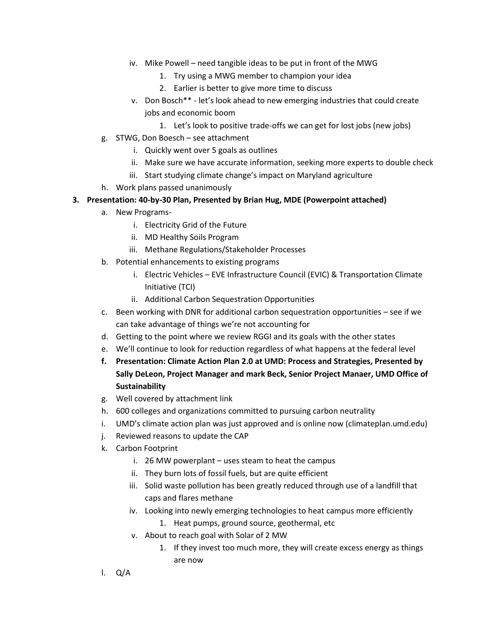- iv. Mike Powell need tangible ideas to be put in front of the MWG
	- 1. Try using a MWG member to champion your idea
	- 2. Earlier is better to give more time to discuss
- v. Don Bosch\*\* let's look ahead to new emerging industries that could create jobs and economic boom
	- 1. Let's look to positive trade-offs we can get for lost jobs (new jobs)
- g. STWG, Don Boesch see attachment
	- i. Quickly went over 5 goals as outlines
	- ii. Make sure we have accurate information, seeking more experts to double check
	- iii. Start studying climate change's impact on Maryland agriculture
- h. Work plans passed unanimously

#### **3. Presentation: 40-by-30 Plan, Presented by Brian Hug, MDE (Powerpoint attached)**

- a. New Programs
	- i. Electricity Grid of the Future
	- ii. MD Healthy Soils Program
	- iii. Methane Regulations/Stakeholder Processes
- b. Potential enhancements to existing programs
	- i. Electric Vehicles EVE Infrastructure Council (EVIC) & Transportation Climate Initiative (TCI)
	- ii. Additional Carbon Sequestration Opportunities
- c. Been working with DNR for additional carbon sequestration opportunities see if we can take advantage of things we're not accounting for
- d. Getting to the point where we review RGGI and its goals with the other states
- e. We'll continue to look for reduction regardless of what happens at the federal level
- **f. Presentation: Climate Action Plan 2.0 at UMD: Process and Strategies, Presented by Sally DeLeon, Project Manager and mark Beck, Senior Project Manaer, UMD Office of Sustainability**
- g. Well covered by attachment link
- h. 600 colleges and organizations committed to pursuing carbon neutrality
- i. UMD's climate action plan was just approved and is online now (climateplan.umd.edu)
- j. Reviewed reasons to update the CAP
- k. Carbon Footprint
	- i. 26 MW powerplant uses steam to heat the campus
	- ii. They burn lots of fossil fuels, but are quite efficient
	- iii. Solid waste pollution has been greatly reduced through use of a landfill that caps and flares methane
	- iv. Looking into newly emerging technologies to heat campus more efficiently
		- 1. Heat pumps, ground source, geothermal, etc
	- v. About to reach goal with Solar of 2 MW
		- 1. If they invest too much more, they will create excess energy as things are now
- l. Q/A